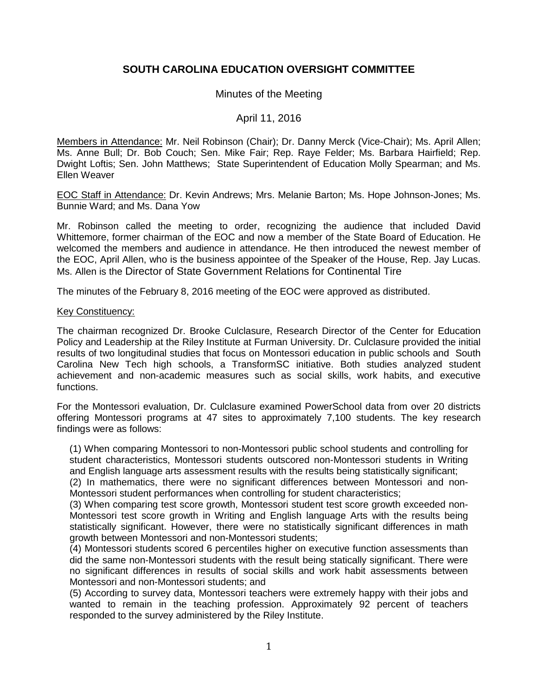# **SOUTH CAROLINA EDUCATION OVERSIGHT COMMITTEE**

## Minutes of the Meeting

### April 11, 2016

Members in Attendance: Mr. Neil Robinson (Chair); Dr. Danny Merck (Vice-Chair); Ms. April Allen; Ms. Anne Bull; Dr. Bob Couch; Sen. Mike Fair; Rep. Raye Felder; Ms. Barbara Hairfield; Rep. Dwight Loftis; Sen. John Matthews; State Superintendent of Education Molly Spearman; and Ms. Ellen Weaver

EOC Staff in Attendance: Dr. Kevin Andrews; Mrs. Melanie Barton; Ms. Hope Johnson-Jones; Ms. Bunnie Ward; and Ms. Dana Yow

Mr. Robinson called the meeting to order, recognizing the audience that included David Whittemore, former chairman of the EOC and now a member of the State Board of Education. He welcomed the members and audience in attendance. He then introduced the newest member of the EOC, April Allen, who is the business appointee of the Speaker of the House, Rep. Jay Lucas. Ms. Allen is the Director of State Government Relations for Continental Tire

The minutes of the February 8, 2016 meeting of the EOC were approved as distributed.

#### Key Constituency:

The chairman recognized Dr. Brooke Culclasure, Research Director of the Center for Education Policy and Leadership at the Riley Institute at Furman University. Dr. Culclasure provided the initial results of two longitudinal studies that focus on Montessori education in public schools and South Carolina New Tech high schools, a TransformSC initiative. Both studies analyzed student achievement and non-academic measures such as social skills, work habits, and executive functions.

For the Montessori evaluation, Dr. Culclasure examined PowerSchool data from over 20 districts offering Montessori programs at 47 sites to approximately 7,100 students. The key research findings were as follows:

(1) When comparing Montessori to non-Montessori public school students and controlling for student characteristics, Montessori students outscored non-Montessori students in Writing and English language arts assessment results with the results being statistically significant;

(2) In mathematics, there were no significant differences between Montessori and non-Montessori student performances when controlling for student characteristics;

(3) When comparing test score growth, Montessori student test score growth exceeded non-Montessori test score growth in Writing and English language Arts with the results being statistically significant. However, there were no statistically significant differences in math growth between Montessori and non-Montessori students;

(4) Montessori students scored 6 percentiles higher on executive function assessments than did the same non-Montessori students with the result being statically significant. There were no significant differences in results of social skills and work habit assessments between Montessori and non-Montessori students; and

(5) According to survey data, Montessori teachers were extremely happy with their jobs and wanted to remain in the teaching profession. Approximately 92 percent of teachers responded to the survey administered by the Riley Institute.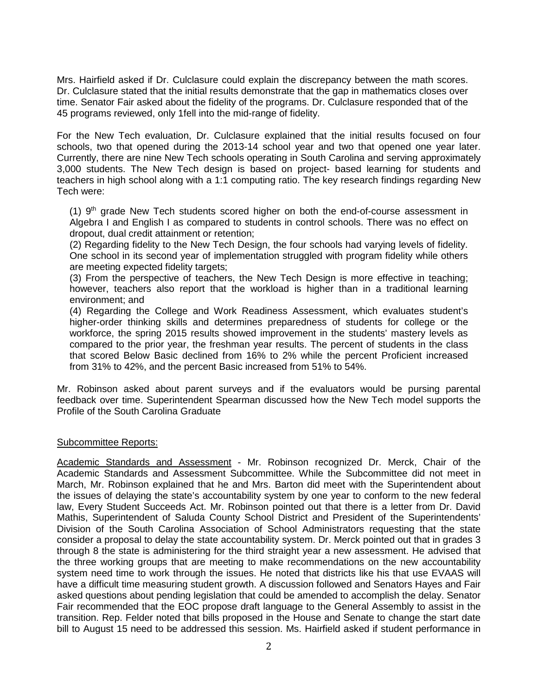Mrs. Hairfield asked if Dr. Culclasure could explain the discrepancy between the math scores. Dr. Culclasure stated that the initial results demonstrate that the gap in mathematics closes over time. Senator Fair asked about the fidelity of the programs. Dr. Culclasure responded that of the 45 programs reviewed, only 1fell into the mid-range of fidelity.

For the New Tech evaluation, Dr. Culclasure explained that the initial results focused on four schools, two that opened during the 2013-14 school year and two that opened one year later. Currently, there are nine New Tech schools operating in South Carolina and serving approximately 3,000 students. The New Tech design is based on project- based learning for students and teachers in high school along with a 1:1 computing ratio. The key research findings regarding New Tech were:

(1)  $9<sup>th</sup>$  grade New Tech students scored higher on both the end-of-course assessment in Algebra I and English I as compared to students in control schools. There was no effect on dropout, dual credit attainment or retention;

(2) Regarding fidelity to the New Tech Design, the four schools had varying levels of fidelity. One school in its second year of implementation struggled with program fidelity while others are meeting expected fidelity targets;

(3) From the perspective of teachers, the New Tech Design is more effective in teaching; however, teachers also report that the workload is higher than in a traditional learning environment; and

(4) Regarding the College and Work Readiness Assessment, which evaluates student's higher-order thinking skills and determines preparedness of students for college or the workforce, the spring 2015 results showed improvement in the students' mastery levels as compared to the prior year, the freshman year results. The percent of students in the class that scored Below Basic declined from 16% to 2% while the percent Proficient increased from 31% to 42%, and the percent Basic increased from 51% to 54%.

Mr. Robinson asked about parent surveys and if the evaluators would be pursing parental feedback over time. Superintendent Spearman discussed how the New Tech model supports the Profile of the South Carolina Graduate

#### Subcommittee Reports:

Academic Standards and Assessment - Mr. Robinson recognized Dr. Merck, Chair of the Academic Standards and Assessment Subcommittee. While the Subcommittee did not meet in March, Mr. Robinson explained that he and Mrs. Barton did meet with the Superintendent about the issues of delaying the state's accountability system by one year to conform to the new federal law, Every Student Succeeds Act. Mr. Robinson pointed out that there is a letter from Dr. David Mathis, Superintendent of Saluda County School District and President of the Superintendents' Division of the South Carolina Association of School Administrators requesting that the state consider a proposal to delay the state accountability system. Dr. Merck pointed out that in grades 3 through 8 the state is administering for the third straight year a new assessment. He advised that the three working groups that are meeting to make recommendations on the new accountability system need time to work through the issues. He noted that districts like his that use EVAAS will have a difficult time measuring student growth. A discussion followed and Senators Hayes and Fair asked questions about pending legislation that could be amended to accomplish the delay. Senator Fair recommended that the EOC propose draft language to the General Assembly to assist in the transition. Rep. Felder noted that bills proposed in the House and Senate to change the start date bill to August 15 need to be addressed this session. Ms. Hairfield asked if student performance in